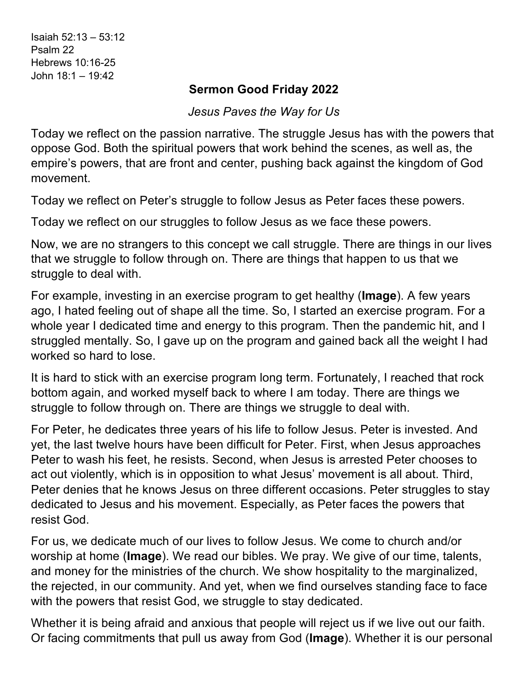Isaiah 52:13 – 53:12 Psalm 22 Hebrews 10:16-25 John 18:1 – 19:42

## **Sermon Good Friday 2022**

*Jesus Paves the Way for Us*

Today we reflect on the passion narrative. The struggle Jesus has with the powers that oppose God. Both the spiritual powers that work behind the scenes, as well as, the empire's powers, that are front and center, pushing back against the kingdom of God movement.

Today we reflect on Peter's struggle to follow Jesus as Peter faces these powers.

Today we reflect on our struggles to follow Jesus as we face these powers.

Now, we are no strangers to this concept we call struggle. There are things in our lives that we struggle to follow through on. There are things that happen to us that we struggle to deal with.

For example, investing in an exercise program to get healthy (**Image**). A few years ago, I hated feeling out of shape all the time. So, I started an exercise program. For a whole year I dedicated time and energy to this program. Then the pandemic hit, and I struggled mentally. So, I gave up on the program and gained back all the weight I had worked so hard to lose.

It is hard to stick with an exercise program long term. Fortunately, I reached that rock bottom again, and worked myself back to where I am today. There are things we struggle to follow through on. There are things we struggle to deal with.

For Peter, he dedicates three years of his life to follow Jesus. Peter is invested. And yet, the last twelve hours have been difficult for Peter. First, when Jesus approaches Peter to wash his feet, he resists. Second, when Jesus is arrested Peter chooses to act out violently, which is in opposition to what Jesus' movement is all about. Third, Peter denies that he knows Jesus on three different occasions. Peter struggles to stay dedicated to Jesus and his movement. Especially, as Peter faces the powers that resist God.

For us, we dedicate much of our lives to follow Jesus. We come to church and/or worship at home (**Image**). We read our bibles. We pray. We give of our time, talents, and money for the ministries of the church. We show hospitality to the marginalized, the rejected, in our community. And yet, when we find ourselves standing face to face with the powers that resist God, we struggle to stay dedicated.

Whether it is being afraid and anxious that people will reject us if we live out our faith. Or facing commitments that pull us away from God (**Image**). Whether it is our personal